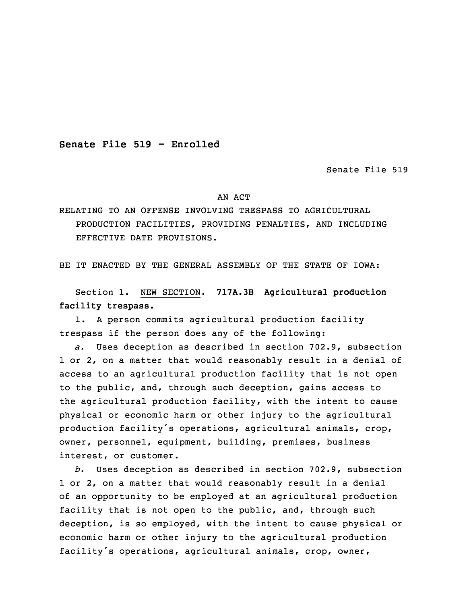**Senate File 519 - Enrolled**

Senate File 519

## AN ACT

RELATING TO AN OFFENSE INVOLVING TRESPASS TO AGRICULTURAL PRODUCTION FACILITIES, PROVIDING PENALTIES, AND INCLUDING EFFECTIVE DATE PROVISIONS.

BE IT ENACTED BY THE GENERAL ASSEMBLY OF THE STATE OF IOWA:

 Section 1. NEW SECTION. **717A.3B Agricultural production facility trespass.**

1. A person commits agricultural production facility trespass if the person does any of the following:

5 *a.* Uses deception as described in section 702.9, subsection 1 or 2, on a matter that would reasonably result in a denial of access to an agricultural production facility that is not open to the public, and, through such deception, gains access to the agricultural production facility, with the intent to cause physical or economic harm or other injury to the agricultural production facility's operations, agricultural animals, crop, owner, personnel, equipment, building, premises, business interest, or customer.

 *b.* Uses deception as described in section 702.9, subsection 1 or 2, on a matter that would reasonably result in a denial of an opportunity to be employed at an agricultural production facility that is not open to the public, and, through such deception, is so employed, with the intent to cause physical or economic harm or other injury to the agricultural production facility's operations, agricultural animals, crop, owner,